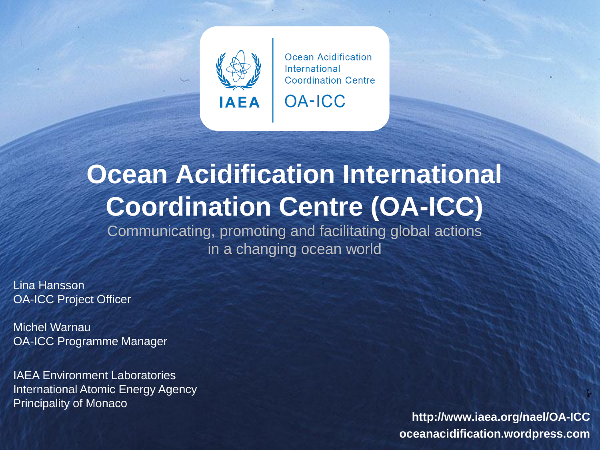

**OA-ICC** 

# **Ocean Acidification International Coordination Centre (OA-ICC)**

Communicating, promoting and facilitating global actions in a changing ocean world

Lina Hansson OA-ICC Project Officer

Michel Warnau OA-ICC Programme Manager

IAEA Environment Laboratories International Atomic Energy Agency Principality of Monaco

**http://www.iaea.org/nael/OA-ICC oceanacidification.wordpress.com**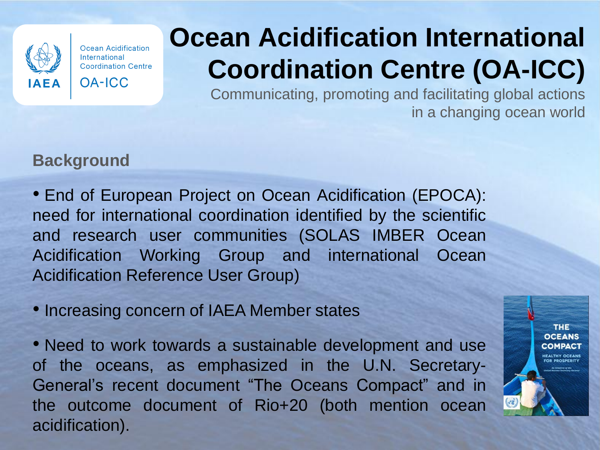

**OA-ICC** 

# **Ocean Acidification International Coordination Centre (OA-ICC)**

Communicating, promoting and facilitating global actions in a changing ocean world

## **Background**

• End of European Project on Ocean Acidification (EPOCA): need for international coordination identified by the scientific and research user communities (SOLAS IMBER Ocean Acidification Working Group and international Ocean Acidification Reference User Group)

• Increasing concern of IAEA Member states

• Need to work towards a sustainable development and use of the oceans, as emphasized in the U.N. Secretary-General's recent document "The Oceans Compact" and in the outcome document of Rio+20 (both mention ocean acidification).

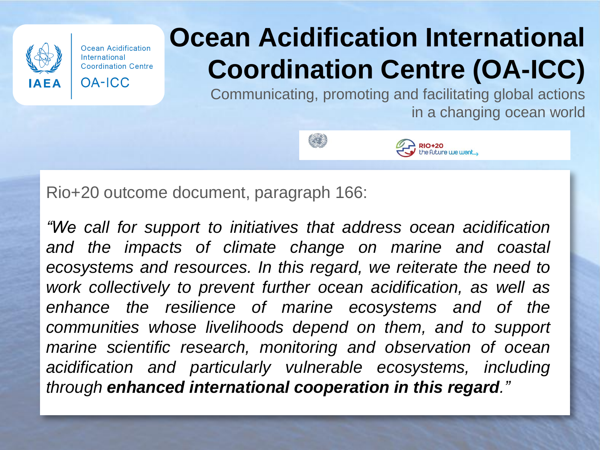

# **Ocean Acidification International Coordination Centre (OA-ICC)**

Communicating, promoting and facilitating global actions in a changing ocean world





Rio+20 outcome document, paragraph 166:

*"We call for support to initiatives that address ocean acidification and the impacts of climate change on marine and coastal ecosystems and resources. In this regard, we reiterate the need to work collectively to prevent further ocean acidification, as well as enhance the resilience of marine ecosystems and of the communities whose livelihoods depend on them, and to support marine scientific research, monitoring and observation of ocean acidification and particularly vulnerable ecosystems, including through enhanced international cooperation in this regard."*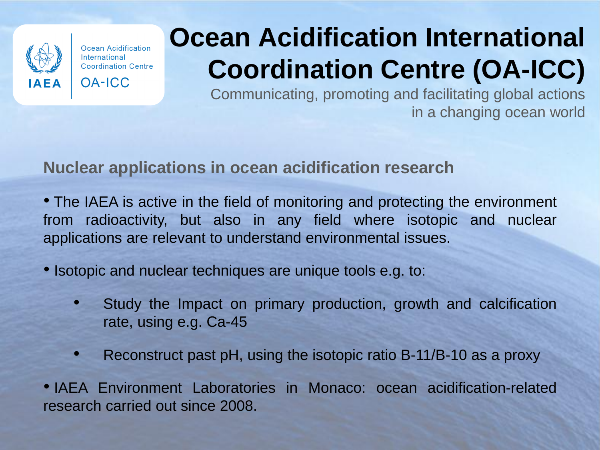

**OA-ICC** 

# **Ocean Acidification International Coordination Centre (OA-ICC)**

Communicating, promoting and facilitating global actions in a changing ocean world

## **Nuclear applications in ocean acidification research**

- The IAEA is active in the field of monitoring and protecting the environment from radioactivity, but also in any field where isotopic and nuclear applications are relevant to understand environmental issues.
- Isotopic and nuclear techniques are unique tools e.g. to:
	- Study the Impact on primary production, growth and calcification rate, using e.g. Ca-45
	- Reconstruct past pH, using the isotopic ratio B-11/B-10 as a proxy

• IAEA Environment Laboratories in Monaco: ocean acidification-related research carried out since 2008.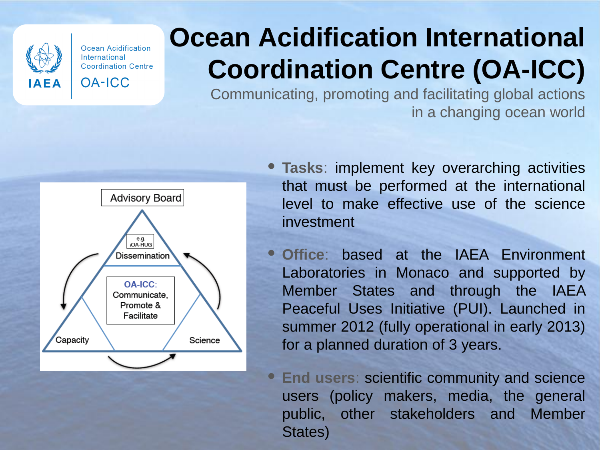

**OA-ICC** 

# **Ocean Acidification International Coordination Centre (OA-ICC)**

Communicating, promoting and facilitating global actions in a changing ocean world



- **Tasks**: implement key overarching activities that must be performed at the international level to make effective use of the science investment
- **Office**: based at the IAEA Environment Laboratories in Monaco and supported by Member States and through the IAEA Peaceful Uses Initiative (PUI). Launched in summer 2012 (fully operational in early 2013) for a planned duration of 3 years.

• **End users**: scientific community and science users (policy makers, media, the general public, other stakeholders and Member States)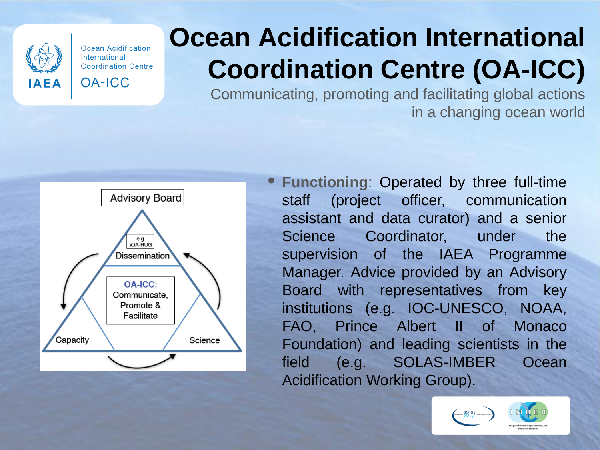

**OA-ICC** 

# **Ocean Acidification International Coordination Centre (OA-ICC)**

Communicating, promoting and facilitating global actions in a changing ocean world



• **Functioning**: Operated by three full-time staff (project officer, communication assistant and data curator) and a senior Science Coordinator, under the supervision of the IAEA Programme Manager. Advice provided by an Advisory Board with representatives from key institutions (e.g. IOC-UNESCO, NOAA, FAO, Prince Albert II of Monaco Foundation) and leading scientists in the field (e.g. SOLAS-IMBER Ocean Acidification Working Group).

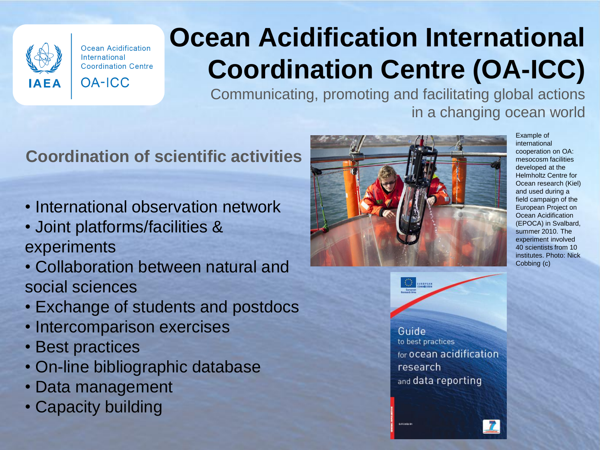

**OA-ICC** 

# **Ocean Acidification International Coordination Centre (OA-ICC)**

Communicating, promoting and facilitating global actions in a changing ocean world

## **Coordination of scientific activities**

- International observation network
- Joint platforms/facilities & experiments
- Collaboration between natural and social sciences
- Exchange of students and postdocs
- Intercomparison exercises
- Best practices
- On-line bibliographic database
- Data management
- Capacity building



**DISCUSSION** 

Example of international cooperation on OA: mesocosm facilities developed at the Helmholtz Centre for Ocean research (Kiel) and used during a field campaign of the European Project on Ocean Acidification (EPOCA) in Svalbard, summer 2010. The experiment involved 40 scientists from 10 institutes. Photo: Nick Cobbing (c)

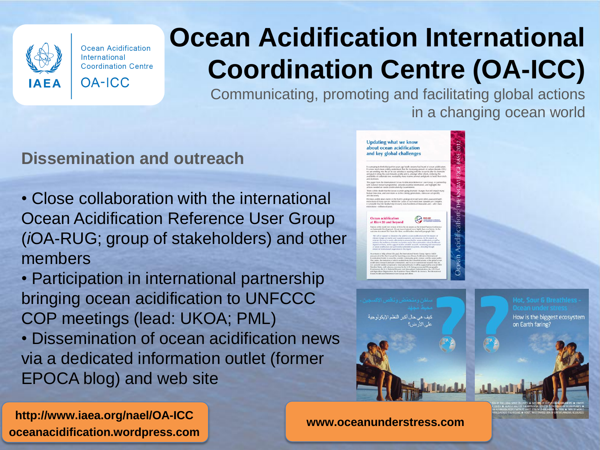

**OA-ICC** 

# **Ocean Acidification International Coordination Centre (OA-ICC)**

Communicating, promoting and facilitating global actions in a changing ocean world

> **Undating what we know** about ocean acidification and key global challenges

#### **Dissemination and outreach**

**http://www.iaea.org/nael/OA-ICC**

**oceanacidification.wordpress.com**

- Close collaboration with the international Ocean Acidification Reference User Group (*i*OA-RUG; group of stakeholders) and other members
- Participation in international partnership bringing ocean acidification to UNFCCC COP meetings (lead: UKOA; PML) • Dissemination of ocean acidification news via a dedicated information outlet (former EPOCA blog) and web site



How is the biggest ecosystem

on Earth faring?

**www.oceanunderstress.com**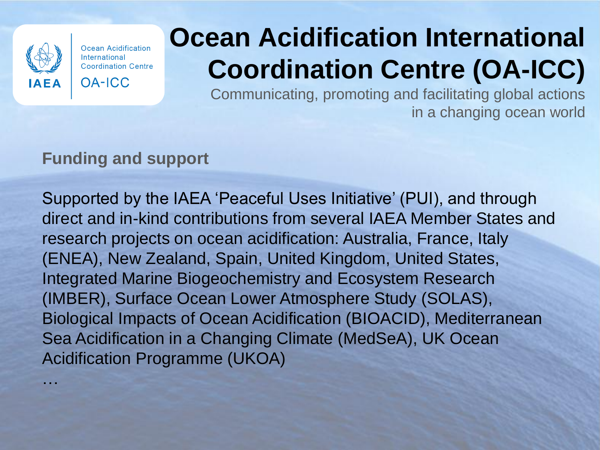

…

Ocean Acidification International **Coordination Centre** 

**OA-ICC** 

# **Ocean Acidification International Coordination Centre (OA-ICC)**

Communicating, promoting and facilitating global actions in a changing ocean world

## **Funding and support**

Supported by the IAEA 'Peaceful Uses Initiative' (PUI), and through direct and in-kind contributions from several IAEA Member States and research projects on ocean acidification: Australia, France, Italy (ENEA), New Zealand, Spain, United Kingdom, United States, Integrated Marine Biogeochemistry and Ecosystem Research (IMBER), Surface Ocean Lower Atmosphere Study (SOLAS), Biological Impacts of Ocean Acidification (BIOACID), Mediterranean Sea Acidification in a Changing Climate (MedSeA), UK Ocean Acidification Programme (UKOA)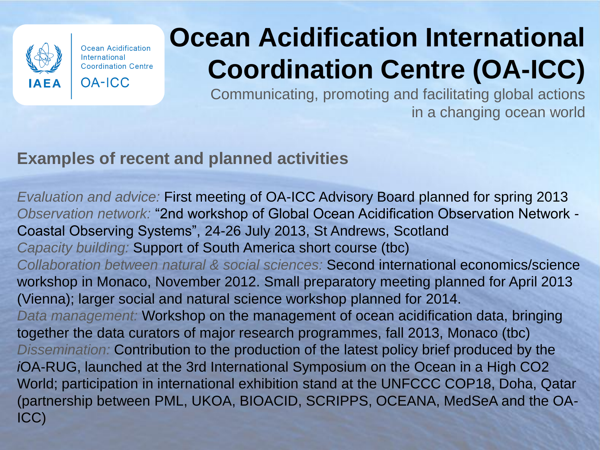

**OA-ICC** 

# **Ocean Acidification International Coordination Centre (OA-ICC)**

Communicating, promoting and facilitating global actions in a changing ocean world

## **Examples of recent and planned activities**

*Evaluation and advice:* First meeting of OA-ICC Advisory Board planned for spring 2013 *Observation network:* "2nd workshop of Global Ocean Acidification Observation Network - Coastal Observing Systems", 24-26 July 2013, St Andrews, Scotland *Capacity building:* Support of South America short course (tbc) *Collaboration between natural & social sciences:* Second international economics/science workshop in Monaco, November 2012. Small preparatory meeting planned for April 2013 (Vienna); larger social and natural science workshop planned for 2014. *Data management:* Workshop on the management of ocean acidification data, bringing together the data curators of major research programmes, fall 2013, Monaco (tbc) *Dissemination:* Contribution to the production of the latest policy brief produced by the *i*OA-RUG, launched at the 3rd International Symposium on the Ocean in a High CO2 World; participation in international exhibition stand at the UNFCCC COP18, Doha, Qatar (partnership between PML, UKOA, BIOACID, SCRIPPS, OCEANA, MedSeA and the OA-ICC)